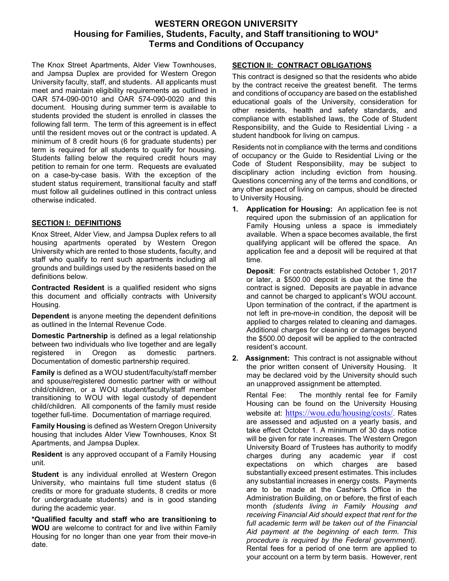# **WESTERN OREGON UNIVERSITY Housing for Families, Students, Faculty, and Staff transitioning to WOU\* Terms and Conditions of Occupancy**

The Knox Street Apartments, Alder View Townhouses, and Jampsa Duplex are provided for Western Oregon University faculty, staff, and students. All applicants must meet and maintain eligibility requirements as outlined in OAR 574-090-0010 and OAR 574-090-0020 and this document. Housing during summer term is available to students provided the student is enrolled in classes the following fall term. The term of this agreement is in effect until the resident moves out or the contract is updated. A minimum of 8 credit hours (6 for graduate students) per term is required for all students to qualify for housing. Students falling below the required credit hours may petition to remain for one term. Requests are evaluated on a case-by-case basis. With the exception of the student status requirement, transitional faculty and staff must follow all guidelines outlined in this contract unless otherwise indicated.

### **SECTION I: DEFINITIONS**

Knox Street, Alder View, and Jampsa Duplex refers to all housing apartments operated by Western Oregon University which are rented to those students, faculty, and staff who qualify to rent such apartments including all grounds and buildings used by the residents based on the definitions below.

**Contracted Resident** is a qualified resident who signs this document and officially contracts with University Housing.

**Dependent** is anyone meeting the dependent definitions as outlined in the Internal Revenue Code.

**Domestic Partnership** is defined as a legal relationship between two individuals who live together and are legally registered in Oregon as domestic partners. Documentation of domestic partnership required.

**Family** is defined as a WOU student/faculty/staff member and spouse/registered domestic partner with or without child/children, or a WOU student/faculty/staff member transitioning to WOU with legal custody of dependent child/children. All components of the family must reside together full-time. Documentation of marriage required.

**Family Housing** is defined as Western Oregon University housing that includes Alder View Townhouses, Knox St Apartments, and Jampsa Duplex.

**Resident** is any approved occupant of a Family Housing unit.

**Student** is any individual enrolled at Western Oregon University, who maintains full time student status (6 credits or more for graduate students, 8 credits or more for undergraduate students) and is in good standing during the academic year.

**\*Qualified faculty and staff who are transitioning to WOU** are welcome to contract for and live within Family Housing for no longer than one year from their move-in date.

### **SECTION II: CONTRACT OBLIGATIONS**

This contract is designed so that the residents who abide by the contract receive the greatest benefit. The terms and conditions of occupancy are based on the established educational goals of the University, consideration for other residents, health and safety standards, and compliance with established laws, the Code of Student Responsibility, and the Guide to Residential Living - a student handbook for living on campus.

Residents not in compliance with the terms and conditions of occupancy or the Guide to Residential Living or the Code of Student Responsibility, may be subject to disciplinary action including eviction from housing. Questions concerning any of the terms and conditions, or any other aspect of living on campus, should be directed to University Housing.

**1. Application for Housing:** An application fee is not required upon the submission of an application for Family Housing unless a space is immediately available. When a space becomes available, the first qualifying applicant will be offered the space. An application fee and a deposit will be required at that time.

**Deposit**: For contracts established October 1, 2017 or later, a \$500.00 deposit is due at the time the contract is signed. Deposits are payable in advance and cannot be charged to applicant's WOU account. Upon termination of the contract, if the apartment is not left in pre-move-in condition, the deposit will be applied to charges related to cleaning and damages. Additional charges for cleaning or damages beyond the \$500.00 deposit will be applied to the contracted resident's account.

**2. Assignment:** This contract is not assignable without the prior written consent of University Housing. It may be declared void by the University should such an unapproved assignment be attempted.

Rental Fee: The monthly rental fee for Family Housing can be found on the University Housing website at: <https://wou.edu/housing/costs/>. Rates are assessed and adjusted on a yearly basis, and take effect October 1. A minimum of 30 days notice will be given for rate increases. The Western Oregon University Board of Trustees has authority to modify charges during any academic year if cost expectations on which charges are based substantially exceed present estimates. This includes any substantial increases in energy costs. Payments are to be made at the Cashier's Office in the Administration Building, on or before, the first of each month *(students living in Family Housing and receiving Financial Aid should expect that rent for the full academic term will be taken out of the Financial Aid payment at the beginning of each term. This procedure is required by the Federal government).*  Rental fees for a period of one term are applied to your account on a term by term basis. However, rent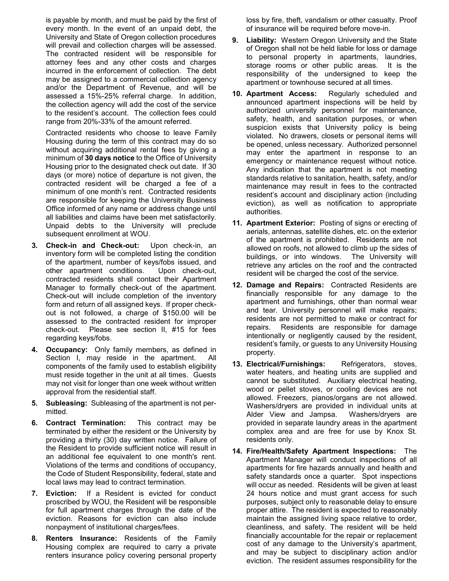is payable by month, and must be paid by the first of every month. In the event of an unpaid debt, the University and State of Oregon collection procedures will prevail and collection charges will be assessed. The contracted resident will be responsible for attorney fees and any other costs and charges incurred in the enforcement of collection. The debt may be assigned to a commercial collection agency and/or the Department of Revenue, and will be assessed a 15%-25% referral charge. In addition, the collection agency will add the cost of the service to the resident's account. The collection fees could range from 20%-33% of the amount referred.

Contracted residents who choose to leave Family Housing during the term of this contract may do so without acquiring additional rental fees by giving a minimum of **30 days notice** to the Office of University Housing prior to the designated check out date. If 30 days (or more) notice of departure is not given, the contracted resident will be charged a fee of a minimum of one month's rent. Contracted residents are responsible for keeping the University Business Office informed of any name or address change until all liabilities and claims have been met satisfactorily. Unpaid debts to the University will preclude subsequent enrollment at WOU.

- **3. Check-in and Check-out:** Upon check-in, an inventory form will be completed listing the condition of the apartment, number of keys/fobs issued, and other apartment conditions. Upon check-out, contracted residents shall contact their Apartment Manager to formally check-out of the apartment. Check-out will include completion of the inventory form and return of all assigned keys. If proper checkout is not followed, a charge of \$150.00 will be assessed to the contracted resident for improper check-out. Please see section II, #15 for fees regarding keys/fobs.
- **4. Occupancy:** Only family members, as defined in Section I, may reside in the apartment. All components of the family used to establish eligibility must reside together in the unit at all times. Guests may not visit for longer than one week without written approval from the residential staff.
- **5. Subleasing:** Subleasing of the apartment is not permitted.
- **6. Contract Termination:** This contract may be terminated by either the resident or the University by providing a thirty (30) day written notice. Failure of the Resident to provide sufficient notice will result in an additional fee equivalent to one month's rent. Violations of the terms and conditions of occupancy, the Code of Student Responsibility, federal, state and local laws may lead to contract termination.
- **7. Eviction:** If a Resident is evicted for conduct proscribed by WOU, the Resident will be responsible for full apartment charges through the date of the eviction. Reasons for eviction can also include nonpayment of institutional charges/fees.
- **8. Renters Insurance:** Residents of the Family Housing complex are required to carry a private renters insurance policy covering personal property

loss by fire, theft, vandalism or other casualty. Proof of insurance will be required before move-in.

- **9. Liability:** Western Oregon University and the State of Oregon shall not be held liable for loss or damage to personal property in apartments, laundries, storage rooms or other public areas. It is the responsibility of the undersigned to keep the apartment or townhouse secured at all times.
- **10. Apartment Access:** Regularly scheduled and announced apartment inspections will be held by authorized university personnel for maintenance, safety, health, and sanitation purposes, or when suspicion exists that University policy is being violated. No drawers, closets or personal items will be opened, unless necessary. Authorized personnel may enter the apartment in response to an emergency or maintenance request without notice. Any indication that the apartment is not meeting standards relative to sanitation, health, safety, and/or maintenance may result in fees to the contracted resident's account and disciplinary action (including eviction), as well as notification to appropriate authorities.
- **11. Apartment Exterior:** Posting of signs or erecting of aerials, antennas, satellite dishes, etc. on the exterior of the apartment is prohibited. Residents are not allowed on roofs, not allowed to climb up the sides of buildings, or into windows. The University will retrieve any articles on the roof and the contracted resident will be charged the cost of the service.
- **12. Damage and Repairs:** Contracted Residents are financially responsible for any damage to the apartment and furnishings, other than normal wear and tear. University personnel will make repairs; residents are not permitted to make or contract for repairs. Residents are responsible for damage intentionally or negligently caused by the resident, resident's family, or guests to any University Housing property.
- **13. Electrical/Furnishings:** Refrigerators, stoves, water heaters, and heating units are supplied and cannot be substituted. Auxiliary electrical heating, wood or pellet stoves, or cooling devices are not allowed. Freezers, pianos/organs are not allowed. Washers/dryers are provided in individual units at Alder View and Jampsa. Washers/dryers are provided in separate laundry areas in the apartment complex area and are free for use by Knox St. residents only.
- **14. Fire/Health/Safety Apartment Inspections:** The Apartment Manager will conduct inspections of all apartments for fire hazards annually and health and safety standards once a quarter. Spot inspections will occur as needed. Residents will be given at least 24 hours notice and must grant access for such purposes, subject only to reasonable delay to ensure proper attire. The resident is expected to reasonably maintain the assigned living space relative to order, cleanliness, and safety. The resident will be held financially accountable for the repair or replacement cost of any damage to the University's apartment, and may be subject to disciplinary action and/or eviction. The resident assumes responsibility for the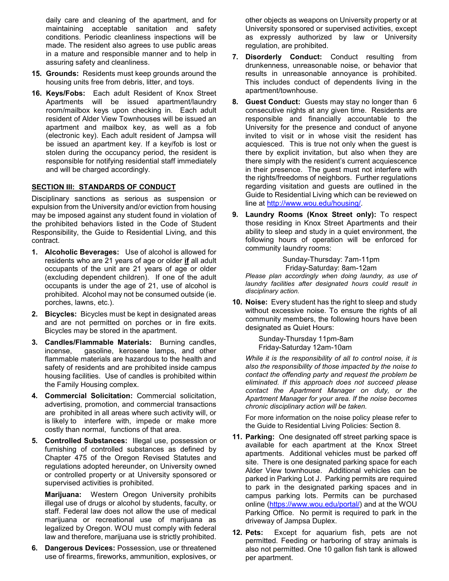daily care and cleaning of the apartment, and for maintaining acceptable sanitation and safety conditions. Periodic cleanliness inspections will be made. The resident also agrees to use public areas in a mature and responsible manner and to help in assuring safety and cleanliness.

- **15. Grounds:** Residents must keep grounds around the housing units free from debris, litter, and toys.
- **16. Keys/Fobs:** Each adult Resident of Knox Street Apartments will be issued apartment/laundry room/mailbox keys upon checking in. Each adult resident of Alder View Townhouses will be issued an apartment and mailbox key, as well as a fob (electronic key). Each adult resident of Jampsa will be issued an apartment key. If a key/fob is lost or stolen during the occupancy period, the resident is responsible for notifying residential staff immediately and will be charged accordingly.

#### **SECTION III: STANDARDS OF CONDUCT**

Disciplinary sanctions as serious as suspension or expulsion from the University and/or eviction from housing may be imposed against any student found in violation of the prohibited behaviors listed in the Code of Student Responsibility, the Guide to Residential Living, and this contract.

- **1. Alcoholic Beverages:** Use of alcohol is allowed for residents who are 21 years of age or older **if** all adult occupants of the unit are 21 years of age or older (excluding dependent children). If one of the adult occupants is under the age of 21, use of alcohol is prohibited. Alcohol may not be consumed outside (ie. porches, lawns, etc.).
- **2. Bicycles:** Bicycles must be kept in designated areas and are not permitted on porches or in fire exits. Bicycles may be stored in the apartment.
- **3. Candles/Flammable Materials:** Burning candles, incense, gasoline, kerosene lamps, and other flammable materials are hazardous to the health and safety of residents and are prohibited inside campus housing facilities. Use of candles is prohibited within the Family Housing complex.
- **4. Commercial Solicitation:** Commercial solicitation, advertising, promotion, and commercial transactions are prohibited in all areas where such activity will, or is likely to interfere with, impede or make more costly than normal, functions of that area.
- **5. Controlled Substances:** Illegal use, possession or furnishing of controlled substances as defined by Chapter 475 of the Oregon Revised Statutes and regulations adopted hereunder, on University owned or controlled property or at University sponsored or supervised activities is prohibited.

**Marijuana:** Western Oregon University prohibits illegal use of drugs or alcohol by students, faculty, or staff. Federal law does not allow the use of medical marijuana or recreational use of marijuana as legalized by Oregon. WOU must comply with federal law and therefore, marijuana use is strictly prohibited.

**6. Dangerous Devices:** Possession, use or threatened use of firearms, fireworks, ammunition, explosives, or

other objects as weapons on University property or at University sponsored or supervised activities, except as expressly authorized by law or University regulation, are prohibited.

- **7. Disorderly Conduct:** Conduct resulting from drunkenness, unreasonable noise, or behavior that results in unreasonable annoyance is prohibited. This includes conduct of dependents living in the apartment/townhouse.
- **8. Guest Conduct:** Guests may stay no longer than 6 consecutive nights at any given time. Residents are responsible and financially accountable to the University for the presence and conduct of anyone invited to visit or in whose visit the resident has acquiesced. This is true not only when the guest is there by explicit invitation, but also when they are there simply with the resident's current acquiescence in their presence. The guest must not interfere with the rights/freedoms of neighbors. Further regulations regarding visitation and guests are outlined in the Guide to Residential Living which can be reviewed on line at [http://www.wou.edu/housing/.](http://www.wou.edu/housing/)
- **9. Laundry Rooms (Knox Street only):** To respect those residing in Knox Street Apartments and their ability to sleep and study in a quiet environment, the following hours of operation will be enforced for community laundry rooms:

Sunday-Thursday: 7am-11pm Friday-Saturday: 8am-12am

*Please plan accordingly when doing laundry, as use of laundry facilities after designated hours could result in disciplinary action.*

**10. Noise:** Every student has the right to sleep and study without excessive noise. To ensure the rights of all community members, the following hours have been designated as Quiet Hours:

> Sunday-Thursday 11pm-8am Friday-Saturday 12am-10am

*While it is the responsibility of all to control noise, it is also the responsibility of those impacted by the noise to contact the offending party and request the problem be eliminated. If this approach does not succeed please contact the Apartment Manager on duty, or the Apartment Manager for your area. If the noise becomes chronic disciplinary action will be taken.* 

For more information on the noise policy please refer to the Guide to Residential Living Policies: Section 8.

- **11. Parking:** One designated off street parking space is available for each apartment at the Knox Street apartments. Additional vehicles must be parked off site. There is one designated parking space for each Alder View townhouse. Additional vehicles can be parked in Parking Lot J. Parking permits are required to park in the designated parking spaces and in campus parking lots. Permits can be purchased online [\(https://www.wou.edu/portal/\)](https://www.wou.edu/portal/) and at the WOU Parking Office. No permit is required to park in the driveway of Jampsa Duplex.
- **12. Pets:** Except for aquarium fish, pets are not permitted. Feeding or harboring of stray animals is also not permitted. One 10 gallon fish tank is allowed per apartment.